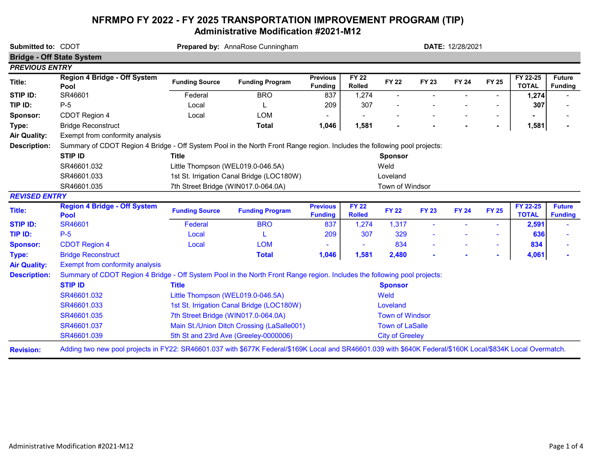## NFRMPO FY 2022 - FY 2025 TRANSPORTATION IMPROVEMENT PROGRAM (TIP) Administrative Modification #2021-M12

| Submitted to: CDOT    | <b>Bridge - Off State System</b>                                                                                                                            | Prepared by: AnnaRose Cunningham           |                        |                                   |                               |                        |              | DATE: 12/28/2021 |                |                          |                                 |  |
|-----------------------|-------------------------------------------------------------------------------------------------------------------------------------------------------------|--------------------------------------------|------------------------|-----------------------------------|-------------------------------|------------------------|--------------|------------------|----------------|--------------------------|---------------------------------|--|
| <b>PREVIOUS ENTRY</b> |                                                                                                                                                             |                                            |                        |                                   |                               |                        |              |                  |                |                          |                                 |  |
| Title:                | Region 4 Bridge - Off System<br>Pool                                                                                                                        | <b>Funding Source</b>                      | <b>Funding Program</b> | <b>Previous</b><br><b>Funding</b> | <b>FY 22</b><br><b>Rolled</b> | <b>FY 22</b>           | <b>FY 23</b> | <b>FY 24</b>     | <b>FY 25</b>   | FY 22-25<br><b>TOTAL</b> | <b>Future</b><br><b>Funding</b> |  |
| STIP ID:              | SR46601                                                                                                                                                     | Federal                                    | <b>BRO</b>             | 837                               | 1,274                         |                        |              |                  |                | 1,274                    |                                 |  |
| TIP ID:               | $P-5$                                                                                                                                                       | Local                                      |                        | 209                               | 307                           |                        |              |                  |                | 307                      |                                 |  |
| Sponsor:              | CDOT Region 4                                                                                                                                               | Local                                      | <b>LOM</b>             |                                   |                               |                        |              |                  |                |                          |                                 |  |
| Type:                 | <b>Bridge Reconstruct</b>                                                                                                                                   |                                            | <b>Total</b>           | 1,046                             | 1,581                         |                        |              |                  | $\blacksquare$ | 1,581                    |                                 |  |
| <b>Air Quality:</b>   | Exempt from conformity analysis                                                                                                                             |                                            |                        |                                   |                               |                        |              |                  |                |                          |                                 |  |
| <b>Description:</b>   | Summary of CDOT Region 4 Bridge - Off System Pool in the North Front Range region. Includes the following pool projects:                                    |                                            |                        |                                   |                               |                        |              |                  |                |                          |                                 |  |
|                       | <b>STIP ID</b>                                                                                                                                              | Title                                      |                        | <b>Sponsor</b>                    |                               |                        |              |                  |                |                          |                                 |  |
|                       | SR46601.032                                                                                                                                                 | Little Thompson (WEL019.0-046.5A)          |                        | Weld                              |                               |                        |              |                  |                |                          |                                 |  |
|                       | SR46601.033                                                                                                                                                 | 1st St. Irrigation Canal Bridge (LOC180W)  | Loveland               |                                   |                               |                        |              |                  |                |                          |                                 |  |
|                       | SR46601.035                                                                                                                                                 | 7th Street Bridge (WIN017.0-064.0A)        |                        | Town of Windsor                   |                               |                        |              |                  |                |                          |                                 |  |
| <b>REVISED ENTRY</b>  |                                                                                                                                                             |                                            |                        |                                   |                               |                        |              |                  |                |                          |                                 |  |
| Title:                | <b>Region 4 Bridge - Off System</b><br><b>Pool</b>                                                                                                          | <b>Funding Source</b>                      | <b>Funding Program</b> | <b>Previous</b><br><b>Funding</b> | <b>FY 22</b><br><b>Rolled</b> | <b>FY 22</b>           | <b>FY 23</b> | <b>FY 24</b>     | <b>FY 25</b>   | FY 22-25<br><b>TOTAL</b> | <b>Future</b><br><b>Funding</b> |  |
| <b>STIP ID:</b>       | <b>SR46601</b>                                                                                                                                              | Federal                                    | <b>BRO</b>             | 837                               | 1,274                         | 1,317                  |              |                  |                | 2,591                    |                                 |  |
| TIP ID:               | $P-5$                                                                                                                                                       | Local                                      |                        | 209                               | 307                           | 329                    |              |                  |                | 636                      |                                 |  |
| <b>Sponsor:</b>       | <b>CDOT Region 4</b>                                                                                                                                        | Local                                      | <b>LOM</b>             |                                   |                               | 834                    |              |                  | $\sim$         | 834                      |                                 |  |
| Type:                 | <b>Bridge Reconstruct</b>                                                                                                                                   |                                            | <b>Total</b>           | 1,046                             | 1,581                         | 2,480                  |              |                  | $\sim$         | 4,061                    |                                 |  |
| <b>Air Quality:</b>   | <b>Exempt from conformity analysis</b>                                                                                                                      |                                            |                        |                                   |                               |                        |              |                  |                |                          |                                 |  |
| <b>Description:</b>   | Summary of CDOT Region 4 Bridge - Off System Pool in the North Front Range region. Includes the following pool projects:                                    |                                            |                        |                                   |                               |                        |              |                  |                |                          |                                 |  |
|                       | <b>STIP ID</b>                                                                                                                                              | <b>Title</b>                               |                        |                                   |                               | <b>Sponsor</b>         |              |                  |                |                          |                                 |  |
|                       | SR46601.032                                                                                                                                                 | Little Thompson (WEL019.0-046.5A)          | Weld                   |                                   |                               |                        |              |                  |                |                          |                                 |  |
|                       | SR46601.033                                                                                                                                                 | 1st St. Irrigation Canal Bridge (LOC180W)  |                        |                                   | Loveland                      |                        |              |                  |                |                          |                                 |  |
|                       | SR46601.035                                                                                                                                                 | 7th Street Bridge (WIN017.0-064.0A)        |                        |                                   | <b>Town of Windsor</b>        |                        |              |                  |                |                          |                                 |  |
|                       | SR46601.037                                                                                                                                                 | Main St./Union Ditch Crossing (LaSalle001) |                        |                                   | <b>Town of LaSalle</b>        |                        |              |                  |                |                          |                                 |  |
|                       | SR46601.039                                                                                                                                                 | 5th St and 23rd Ave (Greeley-0000006)      |                        |                                   |                               | <b>City of Greeley</b> |              |                  |                |                          |                                 |  |
| <b>Revision:</b>      | Adding two new pool projects in FY22: SR46601.037 with \$677K Federal/\$169K Local and SR46601.039 with \$640K Federal/\$160K Local/\$834K Local Overmatch. |                                            |                        |                                   |                               |                        |              |                  |                |                          |                                 |  |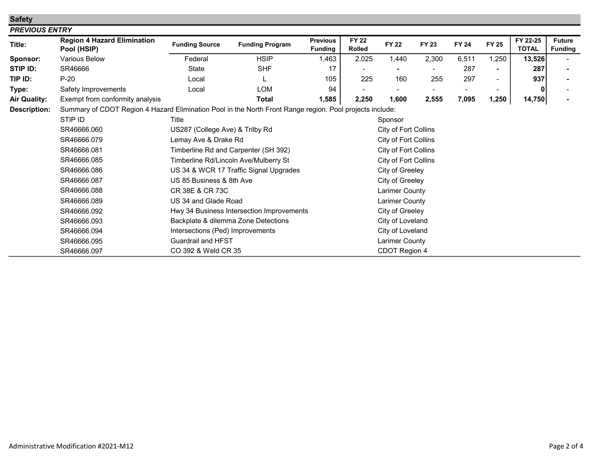| <b>Safety</b>         |                                                                                                          |                                      |                                           |                                   |                               |                      |              |              |              |                          |                                 |  |  |  |
|-----------------------|----------------------------------------------------------------------------------------------------------|--------------------------------------|-------------------------------------------|-----------------------------------|-------------------------------|----------------------|--------------|--------------|--------------|--------------------------|---------------------------------|--|--|--|
| <b>PREVIOUS ENTRY</b> |                                                                                                          |                                      |                                           |                                   |                               |                      |              |              |              |                          |                                 |  |  |  |
| Title:                | <b>Region 4 Hazard Elimination</b><br>Pool (HSIP)                                                        | <b>Funding Source</b>                | <b>Funding Program</b>                    | <b>Previous</b><br><b>Funding</b> | <b>FY 22</b><br><b>Rolled</b> | <b>FY 22</b>         | <b>FY 23</b> | <b>FY 24</b> | <b>FY 25</b> | FY 22-25<br><b>TOTAL</b> | <b>Future</b><br><b>Funding</b> |  |  |  |
| Sponsor:              | <b>Various Below</b>                                                                                     | Federal                              | <b>HSIP</b>                               | 1,463                             | 2,025                         | 1,440                | 2,300        | 6,511        | 1,250        | 13,526                   |                                 |  |  |  |
| STIP ID:              | SR46666                                                                                                  | <b>State</b>                         | <b>SHF</b>                                | 17                                |                               |                      |              | 287          |              | 287                      |                                 |  |  |  |
| TIP ID:               | $P-20$                                                                                                   | Local                                |                                           | 105                               | 225                           | 160                  | 255          | 297          |              | 937                      |                                 |  |  |  |
| Type:                 | Safety Improvements                                                                                      | Local                                | <b>LOM</b>                                | 94                                |                               |                      |              |              |              | 0                        |                                 |  |  |  |
| <b>Air Quality:</b>   | Exempt from conformity analysis                                                                          |                                      | <b>Total</b>                              | 1,585                             | 2,250                         | 1,600                | 2,555        | 7,095        | 1,250        | 14,750                   |                                 |  |  |  |
| <b>Description:</b>   | Summary of CDOT Region 4 Hazard Elimination Pool in the North Front Range region. Pool projects include: |                                      |                                           |                                   |                               |                      |              |              |              |                          |                                 |  |  |  |
|                       | STIP ID                                                                                                  | Title                                |                                           |                                   |                               |                      | Sponsor      |              |              |                          |                                 |  |  |  |
|                       | SR46666.060                                                                                              | US287 (College Ave) & Trilby Rd      |                                           |                                   |                               | City of Fort Collins |              |              |              |                          |                                 |  |  |  |
|                       | SR46666.079                                                                                              | Lemay Ave & Drake Rd                 |                                           |                                   |                               | City of Fort Collins |              |              |              |                          |                                 |  |  |  |
|                       | SR46666.081                                                                                              | Timberline Rd and Carpenter (SH 392) |                                           |                                   |                               | City of Fort Collins |              |              |              |                          |                                 |  |  |  |
|                       | SR46666.085                                                                                              |                                      | Timberline Rd/Lincoln Ave/Mulberry St     |                                   |                               | City of Fort Collins |              |              |              |                          |                                 |  |  |  |
|                       | SR46666.086                                                                                              |                                      | US 34 & WCR 17 Traffic Signal Upgrades    |                                   |                               | City of Greeley      |              |              |              |                          |                                 |  |  |  |
|                       | SR46666.087                                                                                              | US 85 Business & 8th Ave             |                                           |                                   |                               | City of Greeley      |              |              |              |                          |                                 |  |  |  |
|                       | SR46666.088                                                                                              | CR 38E & CR 73C                      |                                           |                                   |                               | Larimer County       |              |              |              |                          |                                 |  |  |  |
|                       | SR46666.089                                                                                              | US 34 and Glade Road                 |                                           |                                   |                               | Larimer County       |              |              |              |                          |                                 |  |  |  |
|                       | SR46666.092                                                                                              |                                      | Hwy 34 Business Intersection Improvements |                                   |                               | City of Greeley      |              |              |              |                          |                                 |  |  |  |
|                       | SR46666.093                                                                                              | Backplate & dilemma Zone Detections  |                                           |                                   |                               | City of Loveland     |              |              |              |                          |                                 |  |  |  |
|                       | SR46666.094                                                                                              | Intersections (Ped) Improvements     |                                           |                                   |                               | City of Loveland     |              |              |              |                          |                                 |  |  |  |
|                       | SR46666.095                                                                                              |                                      | <b>Guardrail and HFST</b>                 |                                   |                               | Larimer County       |              |              |              |                          |                                 |  |  |  |
|                       | SR46666.097                                                                                              | CO 392 & Weld CR 35                  |                                           |                                   |                               | CDOT Region 4        |              |              |              |                          |                                 |  |  |  |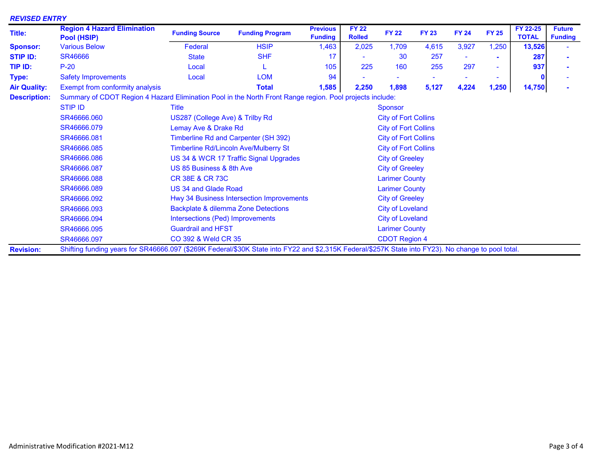| <b>REVISED ENTRY</b><br>Title: | <b>Region 4 Hazard Elimination</b><br>Pool (HSIP)                                                                                                   | <b>Funding Source</b>                          | <b>Funding Program</b> | <b>Previous</b><br><b>Funding</b> | <b>FY 22</b><br><b>Rolled</b> | <b>FY 22</b>                | <b>FY 23</b> | <b>FY 24</b> | <b>FY 25</b> | FY 22-25<br><b>TOTAL</b> | <b>Future</b><br><b>Funding</b> |  |
|--------------------------------|-----------------------------------------------------------------------------------------------------------------------------------------------------|------------------------------------------------|------------------------|-----------------------------------|-------------------------------|-----------------------------|--------------|--------------|--------------|--------------------------|---------------------------------|--|
| <b>Sponsor:</b>                | <b>Various Below</b>                                                                                                                                | Federal                                        | <b>HSIP</b>            | 1,463                             | 2,025                         | 1,709                       | 4,615        | 3,927        | 1,250        | 13,526                   |                                 |  |
| <b>STIP ID:</b>                | <b>SR46666</b>                                                                                                                                      | <b>State</b>                                   | <b>SHF</b>             | 17                                |                               | -30                         | 257          |              |              | 287                      |                                 |  |
| TIP ID:                        | $P-20$                                                                                                                                              | Local                                          |                        | 105                               | 225                           | 160                         | 255          | 297          | ۰            | 937                      |                                 |  |
| Type:                          | <b>Safety Improvements</b>                                                                                                                          | Local                                          | <b>LOM</b>             | 94                                |                               |                             |              |              |              |                          |                                 |  |
| <b>Air Quality:</b>            | Exempt from conformity analysis                                                                                                                     |                                                | <b>Total</b>           | 1,585                             | 2,250                         | 1,898                       | 5,127        | 4,224        | 1,250        | 14,750                   |                                 |  |
| <b>Description:</b>            | Summary of CDOT Region 4 Hazard Elimination Pool in the North Front Range region. Pool projects include:                                            |                                                |                        |                                   |                               |                             |              |              |              |                          |                                 |  |
|                                | <b>STIP ID</b>                                                                                                                                      | <b>Title</b>                                   |                        | <b>Sponsor</b>                    |                               |                             |              |              |              |                          |                                 |  |
|                                | SR46666.060                                                                                                                                         | US287 (College Ave) & Trilby Rd                |                        |                                   |                               | <b>City of Fort Collins</b> |              |              |              |                          |                                 |  |
|                                | SR46666.079                                                                                                                                         | Lemay Ave & Drake Rd                           |                        |                                   |                               | <b>City of Fort Collins</b> |              |              |              |                          |                                 |  |
|                                | SR46666.081                                                                                                                                         | Timberline Rd and Carpenter (SH 392)           |                        | <b>City of Fort Collins</b>       |                               |                             |              |              |              |                          |                                 |  |
|                                | SR46666.085                                                                                                                                         | <b>Timberline Rd/Lincoln Ave/Mulberry St</b>   |                        | <b>City of Fort Collins</b>       |                               |                             |              |              |              |                          |                                 |  |
|                                | SR46666.086                                                                                                                                         | US 34 & WCR 17 Traffic Signal Upgrades         |                        | <b>City of Greeley</b>            |                               |                             |              |              |              |                          |                                 |  |
|                                | SR46666.087                                                                                                                                         | US 85 Business & 8th Ave                       |                        | <b>City of Greeley</b>            |                               |                             |              |              |              |                          |                                 |  |
|                                | SR46666.088                                                                                                                                         | CR 38E & CR 73C                                |                        | <b>Larimer County</b>             |                               |                             |              |              |              |                          |                                 |  |
|                                | SR46666.089                                                                                                                                         | US 34 and Glade Road                           |                        |                                   |                               | <b>Larimer County</b>       |              |              |              |                          |                                 |  |
|                                | SR46666.092                                                                                                                                         | Hwy 34 Business Intersection Improvements      |                        |                                   |                               | <b>City of Greeley</b>      |              |              |              |                          |                                 |  |
|                                | SR46666.093                                                                                                                                         | <b>Backplate &amp; dilemma Zone Detections</b> |                        |                                   |                               | <b>City of Loveland</b>     |              |              |              |                          |                                 |  |
|                                | SR46666.094                                                                                                                                         | Intersections (Ped) Improvements               |                        |                                   |                               | <b>City of Loveland</b>     |              |              |              |                          |                                 |  |
|                                | SR46666.095                                                                                                                                         | <b>Guardrail and HFST</b>                      |                        |                                   |                               | <b>Larimer County</b>       |              |              |              |                          |                                 |  |
|                                | SR46666.097                                                                                                                                         | <b>CO 392 &amp; Weld CR 35</b>                 |                        | <b>CDOT Region 4</b>              |                               |                             |              |              |              |                          |                                 |  |
| <b>Revision:</b>               | Shifting funding years for SR46666.097 (\$269K Federal/\$30K State into FY22 and \$2,315K Federal/\$257K State into FY23). No change to pool total. |                                                |                        |                                   |                               |                             |              |              |              |                          |                                 |  |